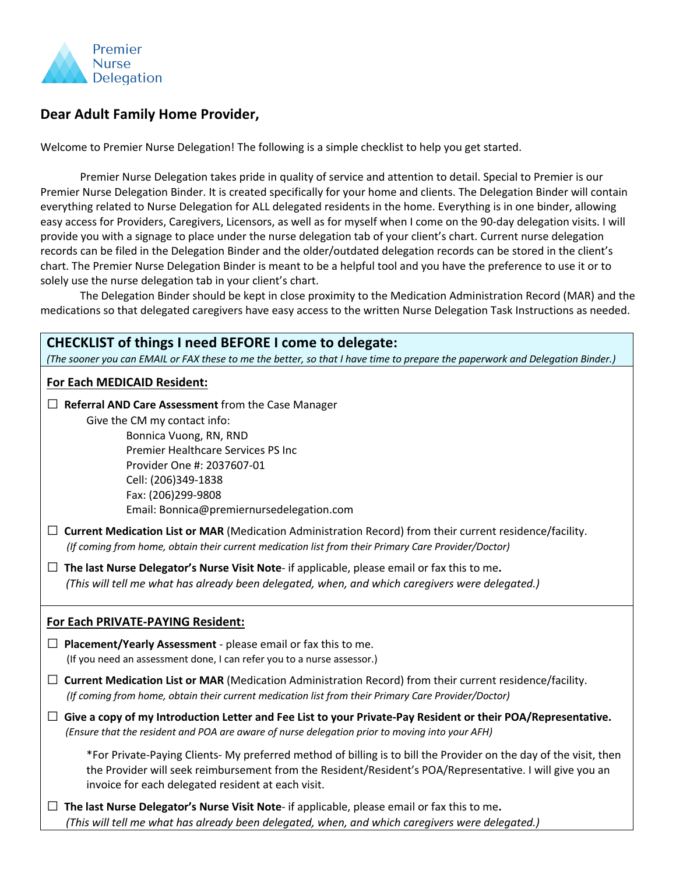

## **Dear Adult Family Home Provider,**

Welcome to Premier Nurse Delegation! The following is a simple checklist to help you get started.

Premier Nurse Delegation takes pride in quality of service and attention to detail. Special to Premier is our Premier Nurse Delegation Binder. It is created specifically for your home and clients. The Delegation Binder will contain everything related to Nurse Delegation for ALL delegated residents in the home. Everything is in one binder, allowing easy access for Providers, Caregivers, Licensors, as well as for myself when I come on the 90-day delegation visits. I will provide you with a signage to place under the nurse delegation tab of your client's chart. Current nurse delegation records can be filed in the Delegation Binder and the older/outdated delegation records can be stored in the client's chart. The Premier Nurse Delegation Binder is meant to be a helpful tool and you have the preference to use it or to solely use the nurse delegation tab in your client's chart.

The Delegation Binder should be kept in close proximity to the Medication Administration Record (MAR) and the medications so that delegated caregivers have easy access to the written Nurse Delegation Task Instructions as needed.

## **CHECKLIST of things I need BEFORE I come to delegate:**

*(The sooner you can EMAIL or FAX these to me the better, so that I have time to prepare the paperwork and Delegation Binder.)*

## **For Each MEDICAID Resident:**

**□ Referral AND Care Assessment** from the Case Manager Give the CM my contact info: Bonnica Vuong, RN, RND Premier Healthcare Services PS Inc

Provider One #: 2037607-01 Cell: (206)349-1838 Fax: (206)299-9808 Email: Bonnica@premiernursedelegation.com

- **□ Current Medication List or MAR** (Medication Administration Record) from their current residence/facility.  *(If coming from home, obtain their current medication list from their Primary Care Provider/Doctor)*
- **□ The last Nurse Delegator's Nurse Visit Note** if applicable, please email or fax this to me**.**  *(This will tell me what has already been delegated, when, and which caregivers were delegated.)*

## **For Each PRIVATE-PAYING Resident:**

**□ Placement/Yearly Assessment** - please email or fax this to me. (If you need an assessment done, I can refer you to a nurse assessor.)

**□ Current Medication List or MAR** (Medication Administration Record) from their current residence/facility.  *(If coming from home, obtain their current medication list from their Primary Care Provider/Doctor)*

**□ Give a copy of my Introduction Letter and Fee List to your Private-Pay Resident or their POA/Representative.** *(Ensure that the resident and POA are aware of nurse delegation prior to moving into your AFH)*

\*For Private-Paying Clients- My preferred method of billing is to bill the Provider on the day of the visit, then the Provider will seek reimbursement from the Resident/Resident's POA/Representative. I will give you an invoice for each delegated resident at each visit.

**□ The last Nurse Delegator's Nurse Visit Note**- if applicable, please email or fax this to me**.**  *(This will tell me what has already been delegated, when, and which caregivers were delegated.)*